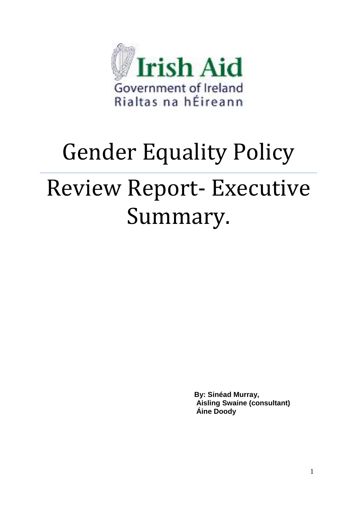

# Gender Equality Policy Review Report- Executive Summary.

**By: Sinéad Murray, Aisling Swaine (consultant) Áine Doody**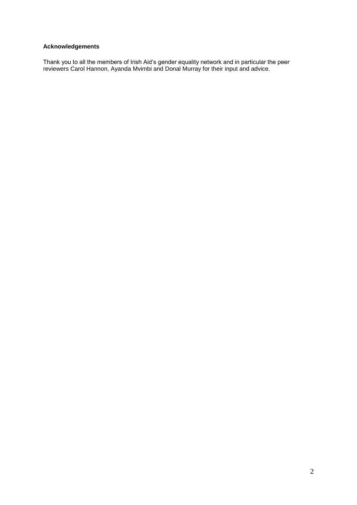# **Acknowledgements**

Thank you to all the members of Irish Aid"s gender equality network and in particular the peer reviewers Carol Hannon, Ayanda Mvimbi and Donal Murray for their input and advice.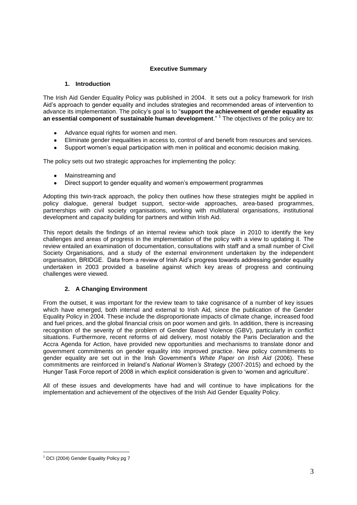# **Executive Summary**

## **1. Introduction**

The Irish Aid Gender Equality Policy was published in 2004. It sets out a policy framework for Irish Aid"s approach to gender equality and includes strategies and recommended areas of intervention to advance its implementation. The policy"s goal is to "**support the achievement of gender equality as**  an essential component of sustainable human development."<sup>1</sup> The objectives of the policy are to:

- Advance equal rights for women and men.
- Eliminate gender inequalities in access to, control of and benefit from resources and services.
- Support women"s equal participation with men in political and economic decision making.

The policy sets out two strategic approaches for implementing the policy:

- Mainstreaming and
- Direct support to gender equality and women"s empowerment programmes  $\bullet$

Adopting this twin-track approach, the policy then outlines how these strategies might be applied in policy dialogue, general budget support, sector-wide approaches, area-based programmes, partnerships with civil society organisations, working with multilateral organisations, institutional development and capacity building for partners and within Irish Aid.

This report details the findings of an internal review which took place in 2010 to identify the key challenges and areas of progress in the implementation of the policy with a view to updating it. The review entailed an examination of documentation, consultations with staff and a small number of Civil Society Organisations, and a study of the external environment undertaken by the independent organisation, BRIDGE. Data from a review of Irish Aid"s progress towards addressing gender equality undertaken in 2003 provided a baseline against which key areas of progress and continuing challenges were viewed.

# **2. A Changing Environment**

From the outset, it was important for the review team to take cognisance of a number of key issues which have emerged, both internal and external to Irish Aid, since the publication of the Gender Equality Policy in 2004. These include the disproportionate impacts of climate change, increased food and fuel prices, and the global financial crisis on poor women and girls. In addition, there is increasing recognition of the severity of the problem of Gender Based Violence (GBV), particularly in conflict situations. Furthermore, recent reforms of aid delivery, most notably the Paris Declaration and the Accra Agenda for Action, have provided new opportunities and mechanisms to translate donor and government commitments on gender equality into improved practice. New policy commitments to gender equality are set out in the Irish Government"s *White Paper on Irish Aid* (2006). These commitments are reinforced in Ireland"s *National Women's Strategy* (2007-2015) and echoed by the Hunger Task Force report of 2008 in which explicit consideration is given to "women and agriculture".

All of these issues and developments have had and will continue to have implications for the implementation and achievement of the objectives of the Irish Aid Gender Equality Policy.

<u>.</u>

<sup>&</sup>lt;sup>1</sup> DCI (2004) Gender Equality Policy pg 7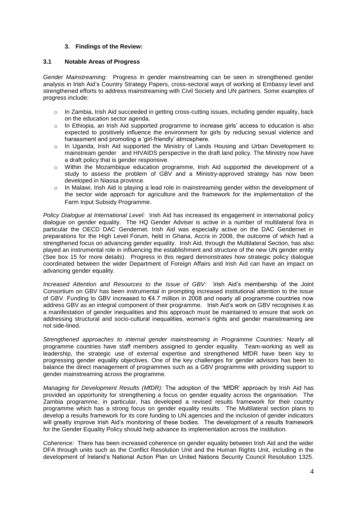## **3. Findings of the Review:**

## **3.1 Notable Areas of Progress**

*Gender Mainstreaming:* Progress in gender mainstreaming can be seen in strengthened gender analysis in Irish Aid"s Country Strategy Papers, cross-sectoral ways of working at Embassy level and strengthened efforts to address mainstreaming with Civil Society and UN partners. Some examples of progress include:

- $\circ$  In Zambia, Irish Aid succeeded in getting cross-cutting issues, including gender equality, back on the education sector agenda.
- $\circ$  In Ethiopia, an Irish Aid supported programme to increase girls' access to education is also expected to positively influence the environment for girls by reducing sexual violence and harassment and promoting a "girl-friendly" atmosphere.
- o In Uganda, Irish Aid supported the Ministry of Lands Housing and Urban Development to mainstream gender and HIVAIDS perspective in the draft land policy. The Ministry now have a draft policy that is gender responsive.
- o Within the Mozambique education programme, Irish Aid supported the development of a study to assess the problem of GBV and a Ministry-approved strategy has now been developed in Niassa province.
- $\circ$  In Malawi, Irish Aid is playing a lead role in mainstreaming gender within the development of the sector wide approach for agriculture and the framework for the implementation of the Farm Input Subsidy Programme.

*Policy Dialogue at International Level:* Irish Aid has increased its engagement in international policy dialogue on gender equality. The HQ Gender Adviser is active in a number of multilateral fora in particular the OECD DAC Gendernet. Irish Aid was especially active on the DAC Gendernet in preparations for the High Level Forum, held in Ghana, Accra in 2008, the outcome of which had a strengthened focus on advancing gender equality. Irish Aid, through the Multilateral Section, has also played an instrumental role in influencing the establishment and structure of the new UN gender entity (See box 15 for more details). Progress in this regard demonstrates how strategic policy dialogue coordinated between the wider Department of Foreign Affairs and Irish Aid can have an impact on advancing gender equality.

*Increased Attention and Resources to the Issue of GBV:* Irish Aid"s membership of the Joint Consortium on GBV has been instrumental in prompting increased institutional attention to the issue of GBV. Funding to GBV increased to €4.7 million in 2008 and nearly all programme countries now address GBV as an integral component of their programme. Irish Aid"s work on GBV recognises it as a manifestation of gender inequalities and this approach must be maintained to ensure that work on addressing structural and socio-cultural inequalities, women's rights and gender mainstreaming are not side-lined.

*Strengthened approaches to internal gender mainstreaming in Programme Countries:* Nearly all programme countries have staff members assigned to gender equality. Team-working as well as leadership, the strategic use of external expertise and strengthened MfDR have been key to progressing gender equality objectives. One of the key challenges for gender advisors has been to balance the direct management of programmes such as a GBV programme with providing support to gender mainstreaming across the programme.

*Managing for Development Results (MfDR):* The adoption of the "MfDR" approach by Irish Aid has provided an opportunity for strengthening a focus on gender equality across the organisation. The Zambia programme, in particular, has developed a revised results framework for their country programme which has a strong focus on gender equality results. The Multilateral section plans to develop a results framework for its core funding to UN agencies and the inclusion of gender indicators will greatly improve Irish Aid"s monitoring of these bodies. The development of a results framework for the Gender Equality Policy should help advance its implementation across the institution.

*Coherence:* There has been increased coherence on gender equality between Irish Aid and the wider DFA through units such as the Conflict Resolution Unit and the Human Rights Unit, including in the development of Ireland"s National Action Plan on United Nations Security Council Resolution 1325.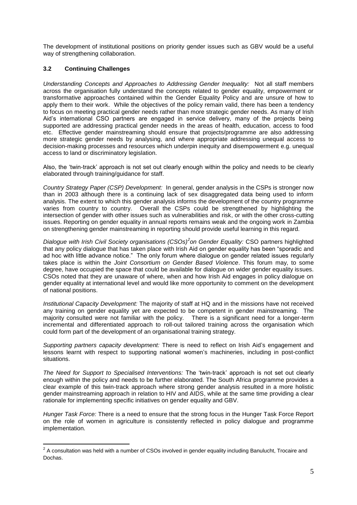The development of institutional positions on priority gender issues such as GBV would be a useful way of strengthening collaboration.

# **3.2 Continuing Challenges**

*Understanding Concepts and Approaches to Addressing Gender Inequality:* Not all staff members across the organisation fully understand the concepts related to gender equality, empowerment or transformative approaches contained within the Gender Equality Policy and are unsure of how to apply them to their work. While the objectives of the policy remain valid, there has been a tendency to focus on meeting practical gender needs rather than more strategic gender needs. As many of Irish Aid"s international CSO partners are engaged in service delivery, many of the projects being supported are addressing practical gender needs in the areas of health, education, access to food etc. Effective gender mainstreaming should ensure that projects/programme are also addressing more strategic gender needs by analysing, and where appropriate addressing unequal access to decision-making processes and resources which underpin inequity and disempowerment e.g. unequal access to land or discriminatory legislation.

Also, the "twin-track" approach is not set out clearly enough within the policy and needs to be clearly elaborated through training/guidance for staff.

*Country Strategy Paper (CSP) Development:* In general, gender analysis in the CSPs is stronger now than in 2003 although there is a continuing lack of sex disaggregated data being used to inform analysis. The extent to which this gender analysis informs the development of the country programme varies from country to country. Overall the CSPs could be strengthened by highlighting the intersection of gender with other issues such as vulnerabilities and risk, or with the other cross-cutting issues. Reporting on gender equality in annual reports remains weak and the ongoing work in Zambia on strengthening gender mainstreaming in reporting should provide useful learning in this regard.

*Dialogue with Irish Civil Society organisations (CSOs)<sup>2</sup> on Gender Equality:* CSO partners highlighted that any policy dialogue that has taken place with Irish Aid on gender equality has been "sporadic and ad hoc with little advance notice." The only forum where dialogue on gender related issues regularly takes place is within the *Joint Consortium on Gender Based Violence*. This forum may, to some degree, have occupied the space that could be available for dialogue on wider gender equality issues. CSOs noted that they are unaware of where, when and how Irish Aid engages in policy dialogue on gender equality at international level and would like more opportunity to comment on the development of national positions.

*Institutional Capacity Development:* The majority of staff at HQ and in the missions have not received any training on gender equality yet are expected to be competent in gender mainstreaming. The majority consulted were not familiar with the policy. There is a significant need for a longer-term incremental and differentiated approach to roll-out tailored training across the organisation which could form part of the development of an organisational training strategy.

*Supporting partners capacity development:* There is need to reflect on Irish Aid"s engagement and lessons learnt with respect to supporting national women"s machineries, including in post-conflict situations.

*The Need for Support to Specialised Interventions:* The "twin-track" approach is not set out clearly enough within the policy and needs to be further elaborated. The South Africa programme provides a clear example of this twin-track approach where strong gender analysis resulted in a more holistic gender mainstreaming approach in relation to HIV and AIDS, while at the same time providing a clear rationale for implementing specific initiatives on gender equality and GBV.

*Hunger Task Force:* There is a need to ensure that the strong focus in the Hunger Task Force Report on the role of women in agriculture is consistently reflected in policy dialogue and programme implementation.

 2 A consultation was held with a number of CSOs involved in gender equality including Banulucht, Trocaire and Dochas.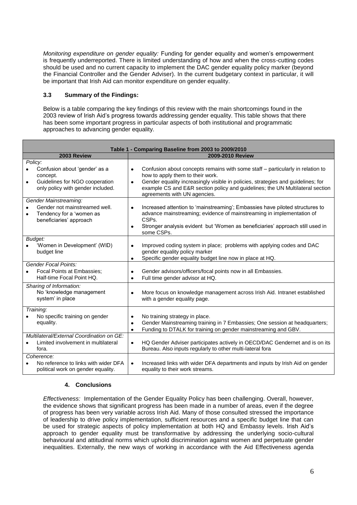*Monitoring expenditure on gender equality:* Funding for gender equality and women"s empowerment is frequently underreported. There is limited understanding of how and when the cross-cutting codes should be used and no current capacity to implement the DAC gender equality policy marker (beyond the Financial Controller and the Gender Adviser). In the current budgetary context in particular, it will be important that Irish Aid can monitor expenditure on gender equality.

# **3.3 Summary of the Findings:**

Below is a table comparing the key findings of this review with the main shortcomings found in the 2003 review of Irish Aid"s progress towards addressing gender equality. This table shows that there has been some important progress in particular aspects of both institutional and programmatic approaches to advancing gender equality.

| Table 1 - Comparing Baseline from 2003 to 2009/2010                                                                                      |                                                                                                                                                                                                                                                                                                                                                   |
|------------------------------------------------------------------------------------------------------------------------------------------|---------------------------------------------------------------------------------------------------------------------------------------------------------------------------------------------------------------------------------------------------------------------------------------------------------------------------------------------------|
| 2003 Review                                                                                                                              | 2009-2010 Review                                                                                                                                                                                                                                                                                                                                  |
| Policy:<br>Confusion about 'gender' as a<br>concept.<br>Guidelines for NGO cooperation<br>$\bullet$<br>only policy with gender included. | Confusion about concepts remains with some staff – particularly in relation to<br>$\bullet$<br>how to apply them to their work.<br>Gender equality increasingly visible in policies, strategies and guidelines; for<br>$\bullet$<br>example CS and E&R section policy and guidelines; the UN Multilateral section<br>agreements with UN agencies. |
| Gender Mainstreaming:<br>Gender not mainstreamed well.<br>$\bullet$<br>Tendency for a 'women as<br>$\bullet$<br>beneficiaries' approach  | Increased attention to 'mainstreaming'; Embassies have piloted structures to<br>$\bullet$<br>advance mainstreaming; evidence of mainstreaming in implementation of<br>CSP <sub>s</sub> .<br>Stronger analysis evident but 'Women as beneficiaries' approach still used in<br>$\bullet$<br>some CSPs.                                              |
| Budget:<br>'Women in Development' (WID)<br>budget line                                                                                   | Improved coding system in place; problems with applying codes and DAC<br>$\bullet$<br>gender equality policy marker<br>Specific gender equality budget line now in place at HQ.<br>٠                                                                                                                                                              |
| <b>Gender Focal Points:</b><br>Focal Points at Embassies;<br>Half-time Focal Point HQ.                                                   | Gender advisors/officers/focal points now in all Embassies.<br>$\bullet$<br>Full time gender advisor at HQ.<br>٠                                                                                                                                                                                                                                  |
| Sharing of Information:<br>No 'knowledge management<br>system' in place                                                                  | More focus on knowledge management across Irish Aid. Intranet established<br>$\bullet$<br>with a gender equality page.                                                                                                                                                                                                                            |
| Training:<br>No specific training on gender<br>equality.                                                                                 | No training strategy in place.<br>٠<br>Gender Mainstreaming training in 7 Embassies; One session at headquarters;<br>$\bullet$<br>Funding to DTALK for training on gender mainstreaming and GBV.<br>$\bullet$                                                                                                                                     |
| Multilateral/External Coordination on GE:<br>Limited involvement in multilateral<br>fora.                                                | HQ Gender Adviser participates actively in OECD/DAC Gendernet and is on its<br>$\bullet$<br>Bureau. Also inputs regularly to other multi-lateral fora                                                                                                                                                                                             |
| Coherence:<br>No reference to links with wider DFA<br>٠<br>political work on gender equality.                                            | Increased links with wider DFA departments and inputs by Irish Aid on gender<br>$\bullet$<br>equality to their work streams.                                                                                                                                                                                                                      |

# **4. Conclusions**

*Effectiveness:* Implementation of the Gender Equality Policy has been challenging. Overall, however, the evidence shows that significant progress has been made in a number of areas, even if the degree of progress has been very variable across Irish Aid. Many of those consulted stressed the importance of leadership to drive policy implementation, sufficient resources and a specific budget line that can be used for strategic aspects of policy implementation at both HQ and Embassy levels. Irish Aid"s approach to gender equality must be transformative by addressing the underlying socio-cultural behavioural and attitudinal norms which uphold discrimination against women and perpetuate gender inequalities. Externally, the new ways of working in accordance with the Aid Effectiveness agenda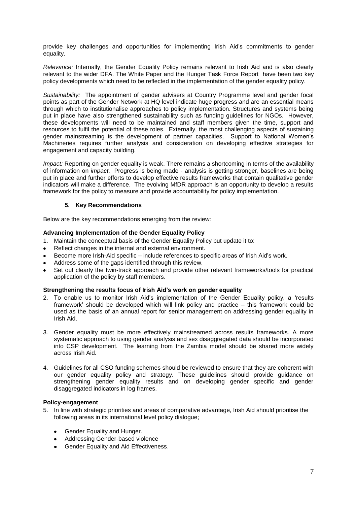provide key challenges and opportunities for implementing Irish Aid"s commitments to gender equality.

*Relevance:* Internally, the Gender Equality Policy remains relevant to Irish Aid and is also clearly relevant to the wider DFA. The White Paper and the Hunger Task Force Report have been two key policy developments which need to be reflected in the implementation of the gender equality policy.

*Sustainability:* The appointment of gender advisers at Country Programme level and gender focal points as part of the Gender Network at HQ level indicate huge progress and are an essential means through which to institutionalise approaches to policy implementation. Structures and systems being put in place have also strengthened sustainability such as funding guidelines for NGOs. However, these developments will need to be maintained and staff members given the time, support and resources to fulfil the potential of these roles. Externally, the most challenging aspects of sustaining gender mainstreaming is the development of partner capacities. Support to National Women"s Machineries requires further analysis and consideration on developing effective strategies for engagement and capacity building.

*Impact:* Reporting on gender equality is weak. There remains a shortcoming in terms of the availability of information on *impact*. Progress is being made - analysis is getting stronger, baselines are being put in place and further efforts to develop effective results frameworks that contain qualitative gender indicators will make a difference. The evolving MfDR approach is an opportunity to develop a results framework for the policy to measure and provide accountability for policy implementation.

## **5. Key Recommendations**

Below are the key recommendations emerging from the review:

## **Advancing Implementation of the Gender Equality Policy**

- 1. Maintain the conceptual basis of the Gender Equality Policy but update it to:
- Reflect changes in the internal and external environment.
- Become more Irish-Aid specific include references to specific areas of Irish Aid"s work.
- Address some of the gaps identified through this review.
- Set out clearly the twin-track approach and provide other relevant frameworks/tools for practical application of the policy by staff members.

## **Strengthening the results focus of Irish Aid's work on gender equality**

- 2. To enable us to monitor Irish Aid"s implementation of the Gender Equality policy, a "results framework" should be developed which will link policy and practice – this framework could be used as the basis of an annual report for senior management on addressing gender equality in Irish Aid.
- 3. Gender equality must be more effectively mainstreamed across results frameworks. A more systematic approach to using gender analysis and sex disaggregated data should be incorporated into CSP development. The learning from the Zambia model should be shared more widely across Irish Aid.
- 4. Guidelines for all CSO funding schemes should be reviewed to ensure that they are coherent with our gender equality policy and strategy. These guidelines should provide guidance on strengthening gender equality results and on developing gender specific and gender disaggregated indicators in log frames.

### **Policy-engagement**

- 5. In line with strategic priorities and areas of comparative advantage, Irish Aid should prioritise the following areas in its international level policy dialogue;
	- Gender Equality and Hunger.
	- Addressing Gender-based violence
	- Gender Equality and Aid Effectiveness.